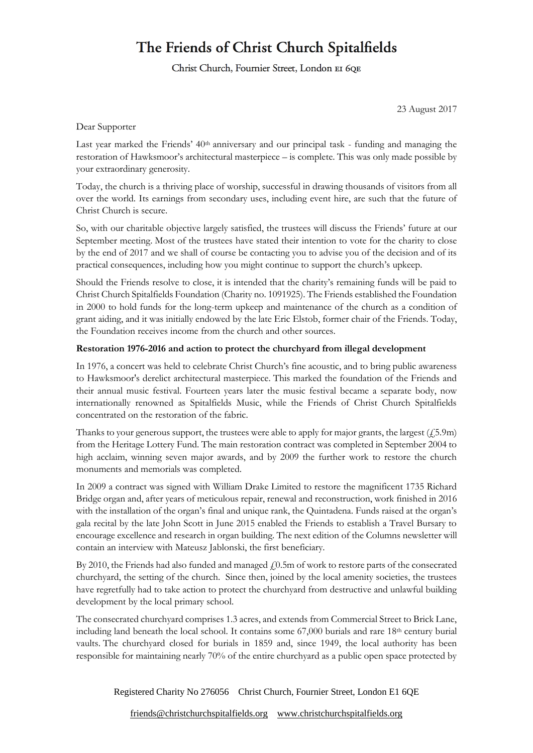## The Friends of Christ Church Spitalfields

Christ Church, Fournier Street, London EI 6QE

23 August 2017

Dear Supporter

Last year marked the Friends' 40<sup>th</sup> anniversary and our principal task - funding and managing the restoration of Hawksmoor's architectural masterpiece – is complete. This was only made possible by your extraordinary generosity.

Today, the church is a thriving place of worship, successful in drawing thousands of visitors from all over the world. Its earnings from secondary uses, including event hire, are such that the future of Christ Church is secure.

So, with our charitable objective largely satisfied, the trustees will discuss the Friends' future at our September meeting. Most of the trustees have stated their intention to vote for the charity to close by the end of 2017 and we shall of course be contacting you to advise you of the decision and of its practical consequences, including how you might continue to support the church's upkeep.

Should the Friends resolve to close, it is intended that the charity's remaining funds will be paid to Christ Church Spitalfields Foundation (Charity no. 1091925). The Friends established the Foundation in 2000 to hold funds for the long-term upkeep and maintenance of the church as a condition of grant aiding, and it was initially endowed by the late Eric Elstob, former chair of the Friends. Today, the Foundation receives income from the church and other sources.

## **Restoration 1976-2016 and action to protect the churchyard from illegal development**

In 1976, a concert was held to celebrate Christ Church's fine acoustic, and to bring public awareness to Hawksmoor's derelict architectural masterpiece. This marked the foundation of the Friends and their annual music festival. Fourteen years later the music festival became a separate body, now internationally renowned as Spitalfields Music, while the Friends of Christ Church Spitalfields concentrated on the restoration of the fabric.

Thanks to your generous support, the trustees were able to apply for major grants, the largest  $(f_25.9m)$ from the Heritage Lottery Fund. The main restoration contract was completed in September 2004 to high acclaim, winning seven major awards, and by 2009 the further work to restore the church monuments and memorials was completed.

In 2009 a contract was signed with William Drake Limited to restore the magnificent 1735 Richard Bridge organ and, after years of meticulous repair, renewal and reconstruction, work finished in 2016 with the installation of the organ's final and unique rank, the Quintadena. Funds raised at the organ's gala recital by the late John Scott in June 2015 enabled the Friends to establish a Travel Bursary to encourage excellence and research in organ building. The next edition of the Columns newsletter will contain an interview with Mateusz Jablonski, the first beneficiary.

By 2010, the Friends had also funded and managed  $f(0.5m)$  of work to restore parts of the consecrated churchyard, the setting of the church. Since then, joined by the local amenity societies, the trustees have regretfully had to take action to protect the churchyard from destructive and unlawful building development by the local primary school.

The consecrated churchyard comprises 1.3 acres, and extends from Commercial Street to Brick Lane, including land beneath the local school. It contains some  $67,000$  burials and rare  $18<sup>th</sup>$  century burial vaults. The churchyard closed for burials in 1859 and, since 1949, the local authority has been responsible for maintaining nearly 70% of the entire churchyard as a public open space protected by

Registered Charity No 276056 Christ Church, Fournier Street, London E1 6QE

[friends@christchurchspitalfields.org](mailto:friends@christchurchspitalfields.org) [www.christchurchspitalfields.org](http://www.christchurchspitalfields.org/)